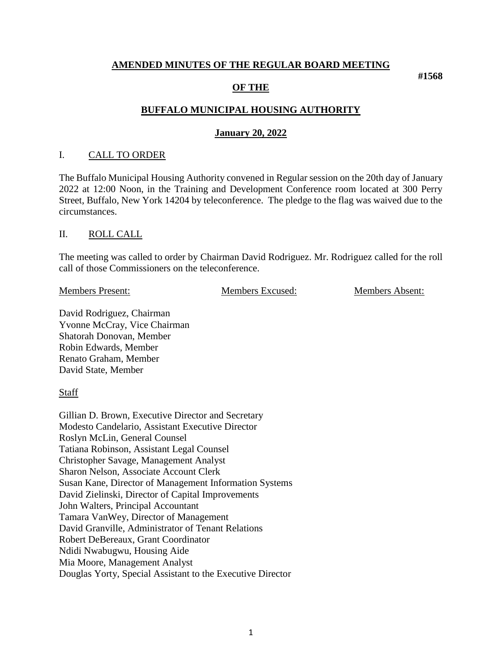#### **AMENDED MINUTES OF THE REGULAR BOARD MEETING**

#### **OF THE**

### **BUFFALO MUNICIPAL HOUSING AUTHORITY**

#### **January 20, 2022**

#### I. CALL TO ORDER

The Buffalo Municipal Housing Authority convened in Regular session on the 20th day of January 2022 at 12:00 Noon, in the Training and Development Conference room located at 300 Perry Street, Buffalo, New York 14204 by teleconference. The pledge to the flag was waived due to the circumstances.

#### II. ROLL CALL

The meeting was called to order by Chairman David Rodriguez. Mr. Rodriguez called for the roll call of those Commissioners on the teleconference.

Members Present: Members Excused: Members Absent:

**#1568**

David Rodriguez, Chairman Yvonne McCray, Vice Chairman Shatorah Donovan, Member Robin Edwards, Member Renato Graham, Member David State, Member

**Staff** 

Gillian D. Brown, Executive Director and Secretary Modesto Candelario, Assistant Executive Director Roslyn McLin, General Counsel Tatiana Robinson, Assistant Legal Counsel Christopher Savage, Management Analyst Sharon Nelson, Associate Account Clerk Susan Kane, Director of Management Information Systems David Zielinski, Director of Capital Improvements John Walters, Principal Accountant Tamara VanWey, Director of Management David Granville, Administrator of Tenant Relations Robert DeBereaux, Grant Coordinator Ndidi Nwabugwu, Housing Aide Mia Moore, Management Analyst Douglas Yorty, Special Assistant to the Executive Director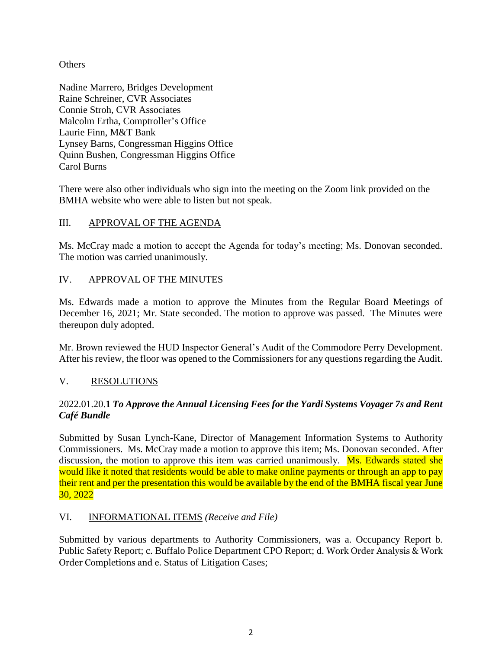## **Others**

Nadine Marrero, Bridges Development Raine Schreiner, CVR Associates Connie Stroh, CVR Associates Malcolm Ertha, Comptroller's Office Laurie Finn, M&T Bank Lynsey Barns, Congressman Higgins Office Quinn Bushen, Congressman Higgins Office Carol Burns

There were also other individuals who sign into the meeting on the Zoom link provided on the BMHA website who were able to listen but not speak.

# III. APPROVAL OF THE AGENDA

Ms. McCray made a motion to accept the Agenda for today's meeting; Ms. Donovan seconded. The motion was carried unanimously.

## IV. APPROVAL OF THE MINUTES

Ms. Edwards made a motion to approve the Minutes from the Regular Board Meetings of December 16, 2021; Mr. State seconded. The motion to approve was passed. The Minutes were thereupon duly adopted.

Mr. Brown reviewed the HUD Inspector General's Audit of the Commodore Perry Development. After his review, the floor was opened to the Commissioners for any questions regarding the Audit.

### V. RESOLUTIONS

## 2022.01.20.**1** *To Approve the Annual Licensing Fees for the Yardi Systems Voyager 7s and Rent Café Bundle*

Submitted by Susan Lynch-Kane, Director of Management Information Systems to Authority Commissioners. Ms. McCray made a motion to approve this item; Ms. Donovan seconded. After discussion, the motion to approve this item was carried unanimously. Ms. Edwards stated she would like it noted that residents would be able to make online payments or through an app to pay their rent and per the presentation this would be available by the end of the BMHA fiscal year June 30, 2022

### VI. INFORMATIONAL ITEMS *(Receive and File)*

Submitted by various departments to Authority Commissioners, was a. Occupancy Report b. Public Safety Report; c. Buffalo Police Department CPO Report; d. Work Order Analysis & Work Order Completions and e. Status of Litigation Cases;